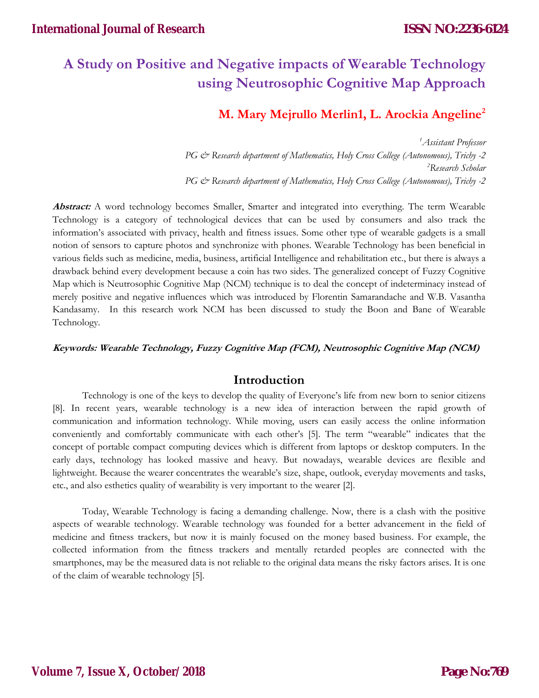# **A Study on Positive and Negative impacts of Wearable Technology using Neutrosophic Cognitive Map Approach**

# **M. Mary Mejrullo Merlin1, L. Arockia Angeline2**

*1 Assistant Professor PG & Research department of Mathematics, Holy Cross College (Autonomous), Trichy -2 2 Research Scholar PG & Research department of Mathematics, Holy Cross College (Autonomous), Trichy -2*

**Abstract:** A word technology becomes Smaller, Smarter and integrated into everything. The term Wearable Technology is a category of technological devices that can be used by consumers and also track the information's associated with privacy, health and fitness issues. Some other type of wearable gadgets is a small notion of sensors to capture photos and synchronize with phones. Wearable Technology has been beneficial in various fields such as medicine, media, business, artificial Intelligence and rehabilitation etc., but there is always a drawback behind every development because a coin has two sides. The generalized concept of Fuzzy Cognitive Map which is Neutrosophic Cognitive Map (NCM) technique is to deal the concept of indeterminacy instead of merely positive and negative influences which was introduced by Florentin Samarandache and W.B. Vasantha Kandasamy. In this research work NCM has been discussed to study the Boon and Bane of Wearable Technology.

### **Keywords: Wearable Technology, Fuzzy Cognitive Map (FCM), Neutrosophic Cognitive Map (NCM)**

### **Introduction**

Technology is one of the keys to develop the quality of Everyone's life from new born to senior citizens [8]. In recent years, wearable technology is a new idea of interaction between the rapid growth of communication and information technology. While moving, users can easily access the online information conveniently and comfortably communicate with each other's [5]. The term "wearable" indicates that the concept of portable compact computing devices which is different from laptops or desktop computers. In the early days, technology has looked massive and heavy. But nowadays, wearable devices are flexible and lightweight. Because the wearer concentrates the wearable's size, shape, outlook, everyday movements and tasks, etc., and also esthetics quality of wearability is very important to the wearer [2].

Today, Wearable Technology is facing a demanding challenge. Now, there is a clash with the positive aspects of wearable technology. Wearable technology was founded for a better advancement in the field of medicine and fitness trackers, but now it is mainly focused on the money based business. For example, the collected information from the fitness trackers and mentally retarded peoples are connected with the smartphones, may be the measured data is not reliable to the original data means the risky factors arises. It is one of the claim of wearable technology [5].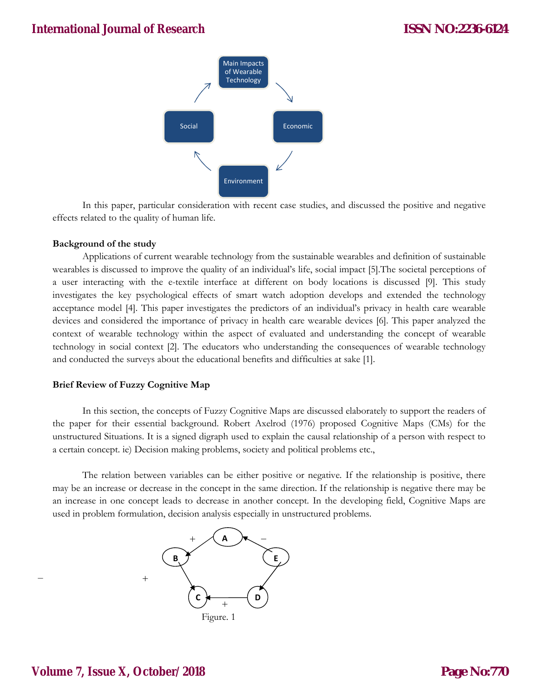

In this paper, particular consideration with recent case studies, and discussed the positive and negative effects related to the quality of human life.

### **Background of the study**

Applications of current wearable technology from the sustainable wearables and definition of sustainable wearables is discussed to improve the quality of an individual's life, social impact [5].The societal perceptions of a user interacting with the e-textile interface at different on body locations is discussed [9]. This study investigates the key psychological effects of smart watch adoption develops and extended the technology acceptance model [4]. This paper investigates the predictors of an individual's privacy in health care wearable devices and considered the importance of privacy in health care wearable devices [6]. This paper analyzed the context of wearable technology within the aspect of evaluated and understanding the concept of wearable technology in social context [2]. The educators who understanding the consequences of wearable technology and conducted the surveys about the educational benefits and difficulties at sake [1].

#### **Brief Review of Fuzzy Cognitive Map**

In this section, the concepts of Fuzzy Cognitive Maps are discussed elaborately to support the readers of the paper for their essential background. Robert Axelrod (1976) proposed Cognitive Maps (CMs) for the unstructured Situations. It is a signed digraph used to explain the causal relationship of a person with respect to a certain concept. ie) Decision making problems, society and political problems etc.,

The relation between variables can be either positive or negative. If the relationship is positive, there may be an increase or decrease in the concept in the same direction. If the relationship is negative there may be an increase in one concept leads to decrease in another concept. In the developing field, Cognitive Maps are used in problem formulation, decision analysis especially in unstructured problems.

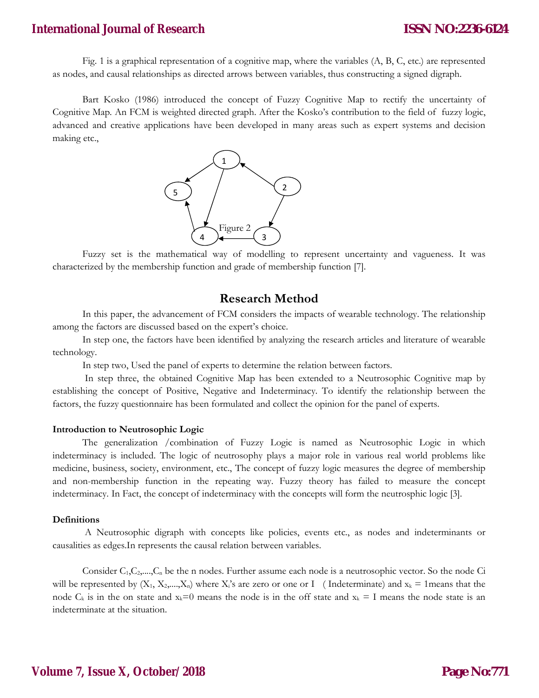### **International Journal of Research**

Fig. 1 is a graphical representation of a cognitive map, where the variables (A, B, C, etc.) are represented as nodes, and causal relationships as directed arrows between variables, thus constructing a signed digraph.

Bart Kosko (1986) introduced the concept of Fuzzy Cognitive Map to rectify the uncertainty of Cognitive Map. An FCM is weighted directed graph. After the Kosko's contribution to the field of fuzzy logic, advanced and creative applications have been developed in many areas such as expert systems and decision making etc.,



Fuzzy set is the mathematical way of modelling to represent uncertainty and vagueness. It was characterized by the membership function and grade of membership function [7].

### **Research Method**

In this paper, the advancement of FCM considers the impacts of wearable technology. The relationship among the factors are discussed based on the expert's choice.

 In step one, the factors have been identified by analyzing the research articles and literature of wearable technology.

In step two, Used the panel of experts to determine the relation between factors.

 In step three, the obtained Cognitive Map has been extended to a Neutrosophic Cognitive map by establishing the concept of Positive, Negative and Indeterminacy. To identify the relationship between the factors, the fuzzy questionnaire has been formulated and collect the opinion for the panel of experts.

#### **Introduction to Neutrosophic Logic**

The generalization /combination of Fuzzy Logic is named as Neutrosophic Logic in which indeterminacy is included. The logic of neutrosophy plays a major role in various real world problems like medicine, business, society, environment, etc., The concept of fuzzy logic measures the degree of membership and non-membership function in the repeating way. Fuzzy theory has failed to measure the concept indeterminacy. In Fact, the concept of indeterminacy with the concepts will form the neutrosphic logic [3].

#### **Definitions**

A Neutrosophic digraph with concepts like policies, events etc., as nodes and indeterminants or causalities as edges.In represents the causal relation between variables.

Consider  $C_1, C_2, \ldots, C_n$  be the n nodes. Further assume each node is a neutrosophic vector. So the node  $Ci$ will be represented by  $(X_1, X_2, ..., X_n)$  where  $X_i$ 's are zero or one or I (Indeterminate) and  $x_k = 1$  means that the node  $C_k$  is in the on state and  $x_k=0$  means the node is in the off state and  $x_k = I$  means the node state is an indeterminate at the situation.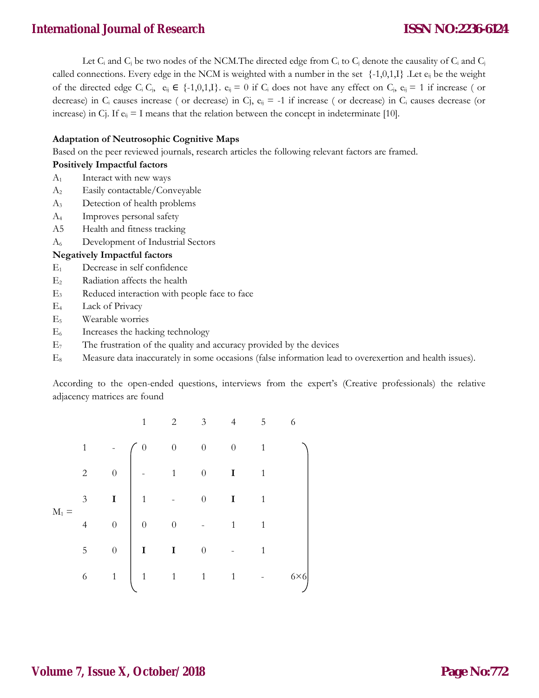# **International Journal of Research**

Let  $C_i$  and  $C_j$  be two nodes of the NCM. The directed edge from  $C_i$  to  $C_j$  denote the causality of  $C_i$  and  $C_j$ called connections. Every edge in the NCM is weighted with a number in the set  $\{-1,0,1,1\}$ . Let  $e_{ij}$  be the weight of the directed edge C<sub>i</sub> C<sub>j</sub>, e<sub>ij</sub>  $\in$  {-1,0,1,I}. e<sub>ij</sub> = 0 if C<sub>i</sub> does not have any effect on C<sub>j</sub>, e<sub>ij</sub> = 1 if increase ( or decrease) in  $C_i$  causes increase ( or decrease) in  $C_j$ ,  $e_{ij}$  = -1 if increase ( or decrease) in  $C_i$  causes decrease (or increase) in Cj. If  $e_{ij} = I$  means that the relation between the concept in indeterminate [10].

### **Adaptation of Neutrosophic Cognitive Maps**

Based on the peer reviewed journals, research articles the following relevant factors are framed.

### **Positively Impactful factors**

- $A_1$  Interact with new ways
- A2 Easily contactable/Conveyable
- A3 Detection of health problems
- A4 Improves personal safety
- A5 Health and fitness tracking
- A6 Development of Industrial Sectors

### **Negatively Impactful factors**

- E1 Decrease in self confidence
- E2 Radiation affects the health
- E3 Reduced interaction with people face to face
- E4 Lack of Privacy
- E5 Wearable worries
- E6 Increases the hacking technology
- $E_7$  The frustration of the quality and accuracy provided by the devices
- E8 Measure data inaccurately in some occasions (false information lead to overexertion and health issues).

According to the open-ended questions, interviews from the expert's (Creative professionals) the relative adjacency matrices are found

|       |                |                  | $\mathbf{1}$   | $\overline{2}$                           | $\overline{3}$   | $\overline{4}$   | 5            | 6           |
|-------|----------------|------------------|----------------|------------------------------------------|------------------|------------------|--------------|-------------|
| $M_1$ | $\mathbf{1}$   |                  | $\Omega$       | $\boldsymbol{0}$                         | $\boldsymbol{0}$ | $\boldsymbol{0}$ | $\mathbf{1}$ |             |
|       | $\overline{2}$ | $\overline{0}$   |                | $\begin{array}{ccc} 1 & & 0 \end{array}$ |                  | I                | $\mathbf{1}$ |             |
|       | $\overline{3}$ | $\mathbf I$      | $\overline{1}$ |                                          | $\overline{0}$   | I                | $\mathbf{1}$ |             |
|       | $\overline{4}$ | $\overline{0}$   |                | $\begin{pmatrix} 0 \\ 0 \end{pmatrix}$   |                  | $\mathbf{1}$     | $\mathbf{1}$ |             |
|       | 5              | $\boldsymbol{0}$ |                | $\overline{I}$                           | $\overline{0}$   |                  | $\mathbf{1}$ |             |
|       | 6              | $\,1$            | $1\quad$       | $\overline{1}$                           | $\overline{1}$   | $\mathbf{1}$     |              | $6\times 6$ |
|       |                |                  |                |                                          |                  |                  |              |             |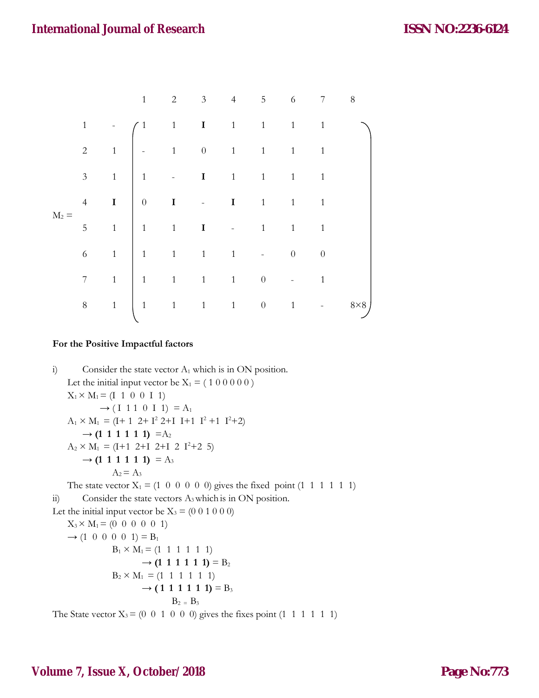|         |   |                | $\mathbf{1}$                                          | $\overline{2}$ |  | 3 4 5 6 7 |  | 8          |
|---------|---|----------------|-------------------------------------------------------|----------------|--|-----------|--|------------|
| $M_2 =$ |   |                |                                                       |                |  |           |  |            |
|         |   |                |                                                       |                |  |           |  |            |
|         |   |                |                                                       |                |  |           |  |            |
|         |   |                |                                                       |                |  |           |  |            |
|         |   |                |                                                       |                |  |           |  |            |
|         |   |                |                                                       |                |  |           |  |            |
|         |   |                |                                                       |                |  |           |  |            |
|         | 8 | $\overline{1}$ | $\begin{vmatrix} 1 & 1 & 1 & 1 & 0 & 1 \end{vmatrix}$ |                |  |           |  | $8\times8$ |
|         |   |                |                                                       |                |  |           |  |            |

### **For the Positive Impactful factors**

i) Consider the state vector  $A_1$  which is in ON position. Let the initial input vector be  $X_1 = (1 0 0 0 0 0)$  $X_1 \times M_1 = (I \ 1 \ 0 \ 0 \ I \ 1)$  $\rightarrow$  (I 1 1 0 I 1) = A<sub>1</sub>  $A_1 \times M_1 = (I + 1 \ 2 + I^2 \ 2 + I \ I + 1 \ I^2 + 1 \ I^2 + 2)$  $\rightarrow$  **(1 1 1 1 1 1)** = A<sub>2</sub>  $A_2 \times M_1 = (I+1 \ 2+I \ 2+I \ 2 \ 1^2+2 \ 5)$  $\rightarrow$  **(1 1 1 1 1 1)** = A<sub>3</sub>  $A_2 = A_3$ The state vector  $X_1 = (1 \ 0 \ 0 \ 0 \ 0 \ 0)$  gives the fixed point  $(1 \ 1 \ 1 \ 1 \ 1)$ ii) Consider the state vectors A<sub>3</sub> which is in ON position. Let the initial input vector be  $X_3 = (0\ 0\ 1\ 0\ 0\ 0)$  $X_3 \times M_1 = (0 \ 0 \ 0 \ 0 \ 0 \ 1)$  $\rightarrow$  (1 0 0 0 0 1) = B<sub>1</sub>  $B_1 \times M_1 = (1 \ 1 \ 1 \ 1 \ 1 \ 1)$  $\rightarrow$  **(1 1 1 1 1 1)** = B<sub>2</sub>  $B_2 \times M_1 = (1 \ 1 \ 1 \ 1 \ 1)$  $\rightarrow$  **(111111)** = B<sub>3</sub>  $B_2 = B_3$ The State vector  $X_3 = (0 \ 0 \ 1 \ 0 \ 0 \ 0)$  gives the fixes point  $(1 \ 1 \ 1 \ 1 \ 1 \ 1)$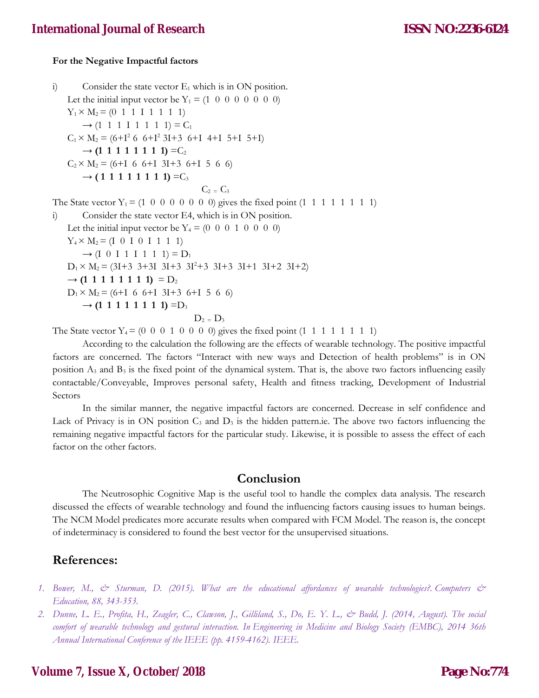### **For the Negative Impactful factors**

i) Consider the state vector  $E_1$  which is in ON position. Let the initial input vector be  $Y_1 = (1 \ 0 \ 0 \ 0 \ 0 \ 0 \ 0)$  $Y_1 \times M_2 = (0 \ 1 \ 1 \ 1 \ 1 \ 1 \ 1 \ 1)$  $\rightarrow$  (1 1 1 1 1 1 1 1) = C<sub>1</sub>  $C_1 \times M_2 = (6 + I^2 \cdot 6 + I^2 \cdot 3I + 3 \cdot 6 + I \cdot 4 + I \cdot 5 + I)$  $\rightarrow$  **(1 1 1 1 1 1 1 1)** = C<sub>2</sub>  $C_2 \times M_2 = (6+1 \ 6 \ 6+1 \ 3I+3 \ 6+1 \ 5 \ 6 \ 6)$  $\rightarrow$  **(11111111)** = C<sub>3</sub>  $C_2 = C_3$ The State vector  $Y_1 = (1 \ 0 \ 0 \ 0 \ 0 \ 0 \ 0)$  gives the fixed point  $(1 \ 1 \ 1 \ 1 \ 1 \ 1 \ 1)$ i) Consider the state vector E4, which is in ON position. Let the initial input vector be  $Y_4 = (0 \ 0 \ 0 \ 1 \ 0 \ 0 \ 0)$  $Y_4 \times M_2 = (I \ 0 \ I \ 0 \ I \ 1 \ 1)$  $\rightarrow$  (I 0 I 1 I 1 1 1) =  $D_1$  $D_1 \times M_2 = (3I + 3 \ 3 + 3I \ 3I + 3 \ 3I^2 + 3 \ 3I + 3 \ 3I + 1 \ 3I + 2 \ 3I + 2)$  $\rightarrow$  **(1 1 1 1 1 1 1 1)** =  $D_2$  $D_1 \times M_2 = (6+1 \ 6 \ 6+1 \ 3I+3 \ 6+1 \ 5 \ 6 \ 6)$  $\rightarrow$  **(1 1 1 1 1 1 1 1)** = D<sub>3</sub>  $D_2 = D_3$ 

The State vector  $Y_4 = (0 \ 0 \ 0 \ 1 \ 0 \ 0 \ 0)$  gives the fixed point  $(1 \ 1 \ 1 \ 1 \ 1 \ 1 \ 1)$ 

According to the calculation the following are the effects of wearable technology. The positive impactful factors are concerned. The factors "Interact with new ways and Detection of health problems" is in ON position  $A_3$  and  $B_3$  is the fixed point of the dynamical system. That is, the above two factors influencing easily contactable/Conveyable, Improves personal safety, Health and fitness tracking, Development of Industrial Sectors

In the similar manner, the negative impactful factors are concerned. Decrease in self confidence and Lack of Privacy is in ON position  $C_3$  and  $D_3$  is the hidden pattern.ie. The above two factors influencing the remaining negative impactful factors for the particular study. Likewise, it is possible to assess the effect of each factor on the other factors.

## **Conclusion**

The Neutrosophic Cognitive Map is the useful tool to handle the complex data analysis. The research discussed the effects of wearable technology and found the influencing factors causing issues to human beings. The NCM Model predicates more accurate results when compared with FCM Model. The reason is, the concept of indeterminacy is considered to found the best vector for the unsupervised situations.

### **References:**

- *1. Bower, M., & Sturman, D. (2015). What are the educational affordances of wearable technologies?. Computers & Education, 88, 343-353.*
- *2. Dunne, L. E., Profita, H., Zeagler, C., Clawson, J., Gilliland, S., Do, E. Y. L., & Budd, J. (2014, August). The social comfort of wearable technology and gestural interaction. In Engineering in Medicine and Biology Society (EMBC), 2014 36th Annual International Conference of the IEEE (pp. 4159-4162). IEEE.*

## **Volume 7, Issue X, October/2018**